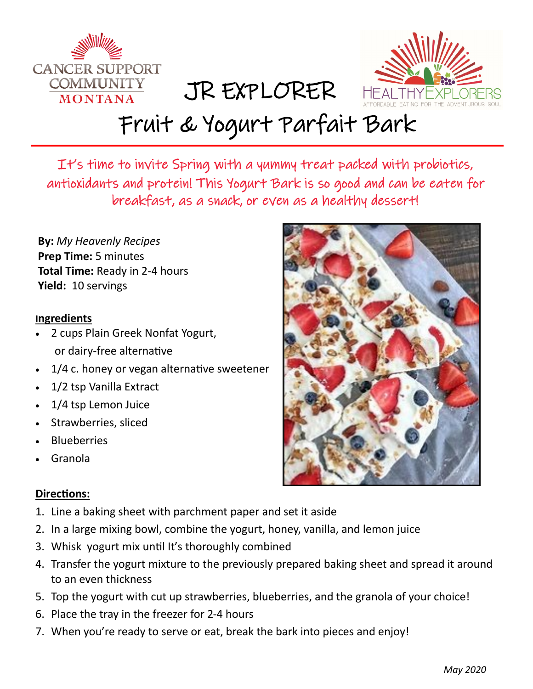



## Fruit & Yogurt Parfait Bark

JR EXPLORER

It's time to invite Spring with a yummy treat packed with probiotics, antioxidants and protein! This Yogurt Bark is so good and can be eaten for breakfast, as a snack, or even as a healthy dessert!

**By:** *My Heavenly Recipes* **Prep Time:** 5 minutes **Total Time:** Ready in 2-4 hours **Yield:** 10 servings

## **Ingredients**

- 2 cups Plain Greek Nonfat Yogurt, or dairy-free alternative
- 1/4 c. honey or vegan alternative sweetener
- 1/2 tsp Vanilla Extract
- 1/4 tsp Lemon Juice
- Strawberries, sliced
- **Blueberries**
- Granola

## **Directions:**

- 1. Line a baking sheet with parchment paper and set it aside
- 2. In a large mixing bowl, combine the yogurt, honey, vanilla, and lemon juice
- 3. Whisk yogurt mix until It's thoroughly combined
- 4. Transfer the yogurt mixture to the previously prepared baking sheet and spread it around to an even thickness
- 5. Top the yogurt with cut up strawberries, blueberries, and the granola of your choice!
- 6. Place the tray in the freezer for 2-4 hours
- 7. When you're ready to serve or eat, break the bark into pieces and enjoy!